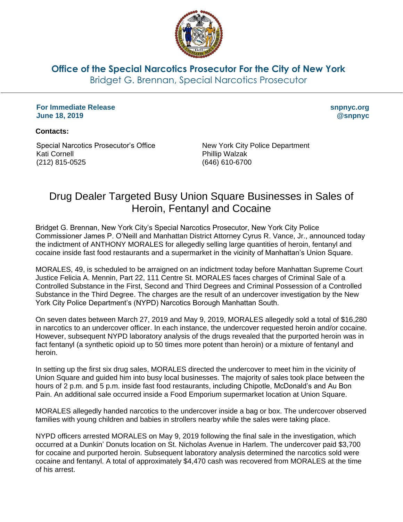

**Office of the Special Narcotics Prosecutor For the City of New York**

Bridget G. Brennan, Special Narcotics Prosecutor

**For Immediate Release June 18, 2019**

**snpnyc.org @snpnyc**

## **Contacts:**

Special Narcotics Prosecutor's Office Kati Cornell (212) 815-0525

New York City Police Department Phillip Walzak (646) 610-6700

## Drug Dealer Targeted Busy Union Square Businesses in Sales of Heroin, Fentanyl and Cocaine

Bridget G. Brennan, New York City's Special Narcotics Prosecutor, New York City Police Commissioner James P. O'Neill and Manhattan District Attorney Cyrus R. Vance, Jr., announced today the indictment of ANTHONY MORALES for allegedly selling large quantities of heroin, fentanyl and cocaine inside fast food restaurants and a supermarket in the vicinity of Manhattan's Union Square.

MORALES, 49, is scheduled to be arraigned on an indictment today before Manhattan Supreme Court Justice Felicia A. Mennin, Part 22, 111 Centre St. MORALES faces charges of Criminal Sale of a Controlled Substance in the First, Second and Third Degrees and Criminal Possession of a Controlled Substance in the Third Degree. The charges are the result of an undercover investigation by the New York City Police Department's (NYPD) Narcotics Borough Manhattan South.

On seven dates between March 27, 2019 and May 9, 2019, MORALES allegedly sold a total of \$16,280 in narcotics to an undercover officer. In each instance, the undercover requested heroin and/or cocaine. However, subsequent NYPD laboratory analysis of the drugs revealed that the purported heroin was in fact fentanyl (a synthetic opioid up to 50 times more potent than heroin) or a mixture of fentanyl and heroin.

In setting up the first six drug sales, MORALES directed the undercover to meet him in the vicinity of Union Square and guided him into busy local businesses. The majority of sales took place between the hours of 2 p.m. and 5 p.m. inside fast food restaurants, including Chipotle, McDonald's and Au Bon Pain. An additional sale occurred inside a Food Emporium supermarket location at Union Square.

MORALES allegedly handed narcotics to the undercover inside a bag or box. The undercover observed families with young children and babies in strollers nearby while the sales were taking place.

NYPD officers arrested MORALES on May 9, 2019 following the final sale in the investigation, which occurred at a Dunkin' Donuts location on St. Nicholas Avenue in Harlem. The undercover paid \$3,700 for cocaine and purported heroin. Subsequent laboratory analysis determined the narcotics sold were cocaine and fentanyl. A total of approximately \$4,470 cash was recovered from MORALES at the time of his arrest.